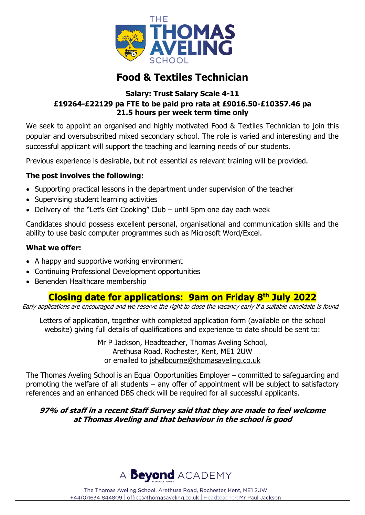

# **Food & Textiles Technician**

## **Salary: Trust Salary Scale 4-11 £19264-£22129 pa FTE to be paid pro rata at £9016.50-£10357.46 pa 21.5 hours per week term time only**

We seek to appoint an organised and highly motivated Food & Textiles Technician to join this popular and oversubscribed mixed secondary school. The role is varied and interesting and the successful applicant will support the teaching and learning needs of our students.

Previous experience is desirable, but not essential as relevant training will be provided.

## **The post involves the following:**

- Supporting practical lessons in the department under supervision of the teacher
- Supervising student learning activities
- Delivery of the "Let's Get Cooking" Club until 5pm one day each week

Candidates should possess excellent personal, organisational and communication skills and the ability to use basic computer programmes such as Microsoft Word/Excel.

### **What we offer:**

- A happy and supportive working environment
- Continuing Professional Development opportunities
- Benenden Healthcare membership

## **Closing date for applications: 9am on Friday 8 th July 2022**

Early applications are encouraged and we reserve the right to close the vacancy early if a suitable candidate is found

Letters of application, together with completed application form (available on the school website) giving full details of qualifications and experience to date should be sent to:

> Mr P Jackson, Headteacher, Thomas Aveling School, Arethusa Road, Rochester, Kent, ME1 2UW or emailed to [jshelbourne@thomasaveling.co.uk](mailto:jshelbourne@thomasaveling.co.uk)

The Thomas Aveling School is an Equal Opportunities Employer – committed to safeguarding and promoting the welfare of all students – any offer of appointment will be subject to satisfactory references and an enhanced DBS check will be required for all successful applicants.

## **97% of staff in a recent Staff Survey said that they are made to feel welcome at Thomas Aveling and that behaviour in the school is good**

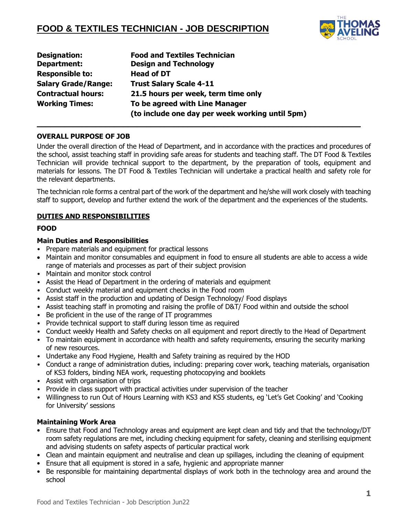

| Designation:               | <b>Food and Textiles Technician</b>             |
|----------------------------|-------------------------------------------------|
| Department:                | <b>Design and Technology</b>                    |
| <b>Responsible to:</b>     | <b>Head of DT</b>                               |
| <b>Salary Grade/Range:</b> | <b>Trust Salary Scale 4-11</b>                  |
| <b>Contractual hours:</b>  | 21.5 hours per week, term time only             |
| <b>Working Times:</b>      | To be agreed with Line Manager                  |
|                            | (to include one day per week working until 5pm) |

#### **OVERALL PURPOSE OF JOB**

Under the overall direction of the Head of Department, and in accordance with the practices and procedures of the school, assist teaching staff in providing safe areas for students and teaching staff. The DT Food & Textiles Technician will provide technical support to the department, by the preparation of tools, equipment and materials for lessons. The DT Food & Textiles Technician will undertake a practical health and safety role for the relevant departments.

**\_\_\_\_\_\_\_\_\_\_\_\_\_\_\_\_\_\_\_\_\_\_\_\_\_\_\_\_\_\_\_\_\_\_\_\_\_\_\_\_\_\_\_\_\_\_\_\_\_\_\_\_\_\_\_\_\_\_\_\_\_\_\_\_\_\_\_\_\_\_\_** 

The technician role forms a central part of the work of the department and he/she will work closely with teaching staff to support, develop and further extend the work of the department and the experiences of the students.

#### **DUTIES AND RESPONSIBILITIES**

#### **FOOD**

#### **Main Duties and Responsibilities**

- Prepare materials and equipment for practical lessons
- Maintain and monitor consumables and equipment in food to ensure all students are able to access a wide range of materials and processes as part of their subject provision
- Maintain and monitor stock control
- Assist the Head of Department in the ordering of materials and equipment
- Conduct weekly material and equipment checks in the Food room
- Assist staff in the production and updating of Design Technology/ Food displays
- Assist teaching staff in promoting and raising the profile of D&T/ Food within and outside the school
- Be proficient in the use of the range of IT programmes
- Provide technical support to staff during lesson time as required
- Conduct weekly Health and Safety checks on all equipment and report directly to the Head of Department
- To maintain equipment in accordance with health and safety requirements, ensuring the security marking of new resources.
- Undertake any Food Hygiene, Health and Safety training as required by the HOD
- Conduct a range of administration duties, including: preparing cover work, teaching materials, organisation of KS3 folders, binding NEA work, requesting photocopying and booklets
- Assist with organisation of trips
- Provide in class support with practical activities under supervision of the teacher
- Willingness to run Out of Hours Learning with KS3 and KS5 students, eg 'Let's Get Cooking' and 'Cooking for University' sessions

#### **Maintaining Work Area**

- Ensure that Food and Technology areas and equipment are kept clean and tidy and that the technology/DT room safety regulations are met, including checking equipment for safety, cleaning and sterilising equipment and advising students on safety aspects of particular practical work
- Clean and maintain equipment and neutralise and clean up spillages, including the cleaning of equipment
- Ensure that all equipment is stored in a safe, hygienic and appropriate manner
- Be responsible for maintaining departmental displays of work both in the technology area and around the school